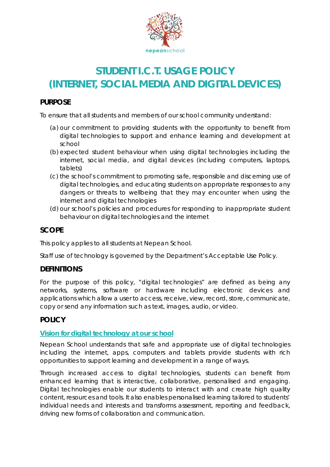

# **STUDENT I.C.T. USAGE POLICY (INTERNET, SOCIAL MEDIA AND DIGITAL DEVICES)**

### **PURPOSE**

To ensure that all students and members of our school community understand:

- (a) our commitment to providing students with the opportunity to benefit from digital technologies to support and enhance learning and development at school
- (b) expected student behaviour when using digital technologies including the internet, social media, and digital devices (including computers, laptops, tablets)
- (c) the school's commitment to promoting safe, responsible and discerning use of digital technologies, and educating students on appropriate responses to any dangers or threats to wellbeing that they may encounter when using the internet and digital technologies
- (d) our school's policies and procedures for responding to inappropriate student behaviour on digital technologies and the internet

#### **SCOPE**

This policy applies to all students at Nepean School.

Staff use of technology is governed by the Department's *Acceptable Use Policy*.

### **DEFINITIONS**

For the purpose of this policy, "digital technologies" are defined as being any networks, systems, software or hardware including electronic devices and applications which allow a user to access, receive, view, record, store, communicate, copy or send any information such as text, images, audio, or video.

#### **POLICY**

#### **Vision for digital technology at our school**

Nepean School understands that safe and appropriate use of digital technologies including the internet, apps, computers and tablets provide students with rich opportunities to support learning and development in a range of ways.

Through increased access to digital technologies, students can benefit from enhanced learning that is interactive, collaborative, personalised and engaging. Digital technologies enable our students to interact with and create high quality content, resources and tools. It also enables personalised learning tailored to students' individual needs and interests and transforms assessment, reporting and feedback, driving new forms of collaboration and communication.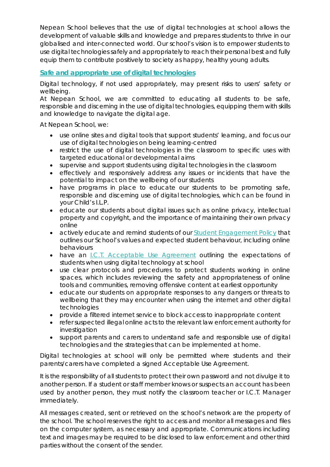Nepean School believes that the use of digital technologies at school allows the development of valuable skills and knowledge and prepares students to thrive in our globalised and inter-connected world. Our school's vision is to empower students to use digital technologies safely and appropriately to reach their personal best and fully equip them to contribute positively to society as happy, healthy young adults.

#### **Safe and appropriate use of digital technologies**

Digital technology, if not used appropriately, may present risks to users' safety or wellbeing.

At Nepean School, we are committed to educating all students to be safe, responsible and discerning in the use of digital technologies, equipping them with skills and knowledge to navigate the digital age.

At Nepean School, we:

- use online sites and digital tools that support students' learning, and focus our use of digital technologies on being learning-centred
- restrict the use of digital technologies in the classroom to specific uses with targeted educational or developmental aims
- supervise and support students using digital technologies in the classroom
- effectively and responsively address any issues or incidents that have the potential to impact on the wellbeing of our students
- have programs in place to educate our students to be promoting safe, responsible and discerning use of digital technologies, which can be found in your Child's I.L.P.
- educate our students about digital issues such as online privacy, intellectual property and copyright, and the importance of maintaining their own privacy online
- actively educate and remind students of our *Student Engagement Policy* that outlines our School's values and expected student behaviour, including online behaviours
- have an *I.C.T. Acceptable Use Agreement* outlining the expectations of students when using digital technology at school
- use clear protocols and procedures to protect students working in online spaces, which includes reviewing the safety and appropriateness of online tools and communities, removing offensive content at earliest opportunity
- educate our students on appropriate responses to any dangers or threats to wellbeing that they may encounter when using the internet and other digital technologies
- provide a filtered internet service to block access to inappropriate content
- refer suspected illegal online acts to the relevant law enforcement authority for investigation
- support parents and carers to understand safe and responsible use of digital technologies and the strategies that can be implemented at home.

Digital technologies at school will only be permitted where students and their parents/carers have completed a signed Acceptable Use Agreement.

It is the responsibility of all students to protect their own password and not divulge it to another person. If a student or staff member knows or suspects an account has been used by another person, they must notify the classroom teacher or I.C.T. Manager immediately.

All messages created, sent or retrieved on the school's network are the property of the school. The school reserves the right to access and monitor all messages and files on the computer system, as necessary and appropriate. Communications including text and images may be required to be disclosed to law enforcement and other third parties without the consent of the sender.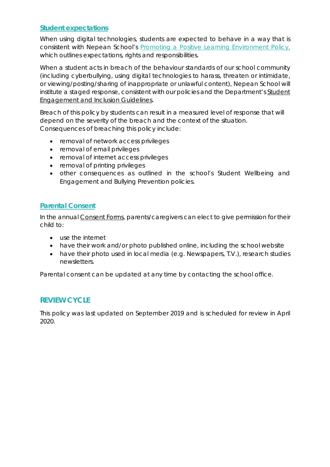#### **Student expectations**

When using digital technologies, students are expected to behave in a way that is consistent with Nepean School's *Promoting a Positive Learning Environment Policy,* which outlines expectations, rights and responsibilities.

When a student acts in breach of the behaviour standards of our school community (including cyberbullying, using digital technologies to harass, threaten or intimidate, or viewing/posting/sharing of inappropriate or unlawful content), Nepean School will institute a staged response, consistent with our policies and the Department's *Student Engagement and Inclusion Guidelines.*

Breach of this policy by students can result in a measured level of response that will depend on the severity of the breach and the context of the situation. Consequences of breaching this policy include:

- removal of network access privileges
- removal of email privileges
- removal of internet access privileges
- removal of printing privileges
- other consequences as outlined in the school's *Student Wellbeing and Engagement* and *Bullying Prevention* policies.

#### **Parental Consent**

In the annual *Consent Forms*, parents/caregivers can elect to give permission for their child to:

- use the internet
- have their work and/or photo published online, including the school website
- have their photo used in local media (e.g. Newspapers, T.V.), research studies newsletters.

Parental consent can be updated at any time by contacting the school office.

### **REVIEW CYCLE**

This policy was last updated on September 2019 and is scheduled for review in April 2020.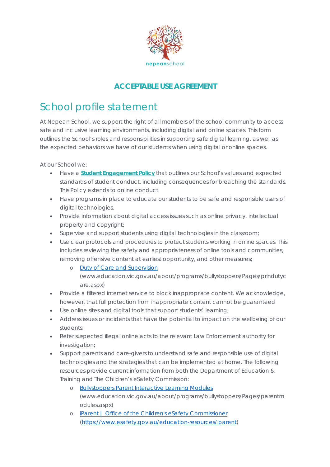

## **ACCEPTABLE USE AGREEMENT**

# School profile statement

At Nepean School, we support the right of all members of the school community to access safe and inclusive learning environments, including digital and online spaces. This form outlines the School's roles and responsibilities in supporting safe digital learning, as well as the expected behaviors we have of our students when using digital or online spaces.

At our School we:

- Have a *Student Engagement Policy* that outlines our School's values and expected standards of student conduct, including consequences for breaching the standards. This Policy extends to online conduct.
- Have programs in place to educate our students to be safe and responsible users of digital technologies.
- Provide information about digital access issues such as online privacy, intellectual property and copyright;
- Supervise and support students using digital technologies in the classroom;
- Use clear protocols and procedures to protect students working in online spaces. This includes reviewing the safety and appropriateness of online tools and communities, removing offensive content at earliest opportunity, and other measures;
	- o [Duty of Care and Supervision](http://www.education.vic.gov.au/about/programs/bullystoppers/Pages/prindutycare.aspx)  [\(www.education.vic.gov.au/about/programs/bullystoppers/Pages/prindutyc](http://www.education.vic.gov.au/about/programs/bullystoppers/Pages/prindutycare.aspx) [are.aspx\)](http://www.education.vic.gov.au/about/programs/bullystoppers/Pages/prindutycare.aspx)
- Provide a filtered internet service to block inappropriate content. We acknowledge, however, that full protection from inappropriate content cannot be guaranteed
- Use online sites and digital tools that support students' learning;
- Address issues or incidents that have the potential to impact on the wellbeing of our students;
- Refer suspected illegal online acts to the relevant Law Enforcement authority for investigation;
- Support parents and care-givers to understand safe and responsible use of digital technologies and the strategies that can be implemented at home. The following resources provide current information from both the [Department of Education &](http://www.education.vic.gov.au/about/programs/bullystoppers/Pages/parentmodules.aspx)  [Training](http://www.education.vic.gov.au/about/programs/bullystoppers/Pages/parentmodules.aspx) and The Children's eSafety Commission:
	- o [Bullystoppers Parent Interactive Learning Modules](http://www.education.vic.gov.au/about/programs/bullystoppers/Pages/parentmodules.aspx) [\(www.education.vic.gov.au/about/programs/bullystoppers/Pages/parentm](http://www.education.vic.gov.au/about/programs/bullystoppers/Pages/parentmodules.aspx) [odules.aspx\)](http://www.education.vic.gov.au/about/programs/bullystoppers/Pages/parentmodules.aspx)
	- o [iParent | Office of the Children's eSafety Commissioner](https://www.esafety.gov.au/education-resources/iparent) [\(https://www.esafety.gov.au/education-resources/iparent\)](https://www.esafety.gov.au/education-resources/iparent)